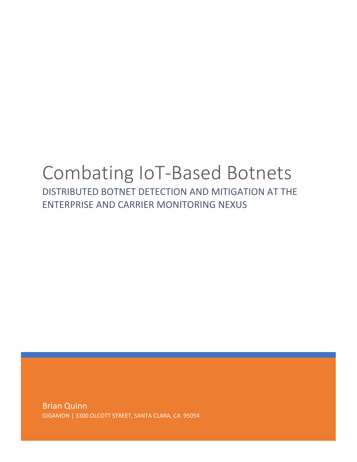# Combating IoT-Based Botnets

DISTRIBUTED BOTNET DETECTION AND MITIGATION AT THE ENTERPRISE AND CARRIER MONITORING NEXUS

Brian Quinn GIGAMON | 3300 OLCOTT STREET, SANTA CLARA, CA 95054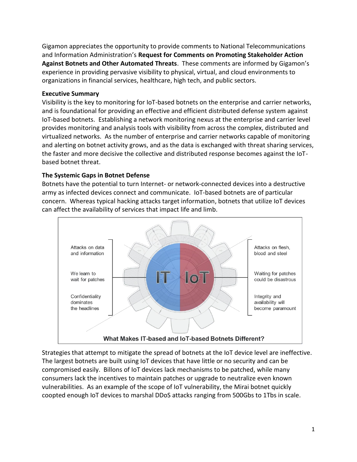Gigamon appreciates the opportunity to provide comments to National Telecommunications and Information Administration's **Request for Comments on Promoting Stakeholder Action Against Botnets and Other Automated Threats**. These comments are informed by Gigamon's experience in providing pervasive visibility to physical, virtual, and cloud environments to organizations in financial services, healthcare, high tech, and public sectors.

#### **Executive Summary**

Visibility is the key to monitoring for IoT-based botnets on the enterprise and carrier networks, and is foundational for providing an effective and efficient distributed defense system against IoT-based botnets. Establishing a network monitoring nexus at the enterprise and carrier level provides monitoring and analysis tools with visibility from across the complex, distributed and virtualized networks. As the number of enterprise and carrier networks capable of monitoring and alerting on botnet activity grows, and as the data is exchanged with threat sharing services, the faster and more decisive the collective and distributed response becomes against the IoTbased botnet threat.

## **The Systemic Gaps in Botnet Defense**

Botnets have the potential to turn Internet- or network-connected devices into a destructive army as infected devices connect and communicate. IoT-based botnets are of particular concern. Whereas typical hacking attacks target information, botnets that utilize IoT devices can affect the availability of services that impact life and limb.



Strategies that attempt to mitigate the spread of botnets at the IoT device level are ineffective. The largest botnets are built using IoT devices that have little or no security and can be compromised easily. Billons of IoT devices lack mechanisms to be patched, while many consumers lack the incentives to maintain patches or upgrade to neutralize even known vulnerabilities. As an example of the scope of IoT vulnerability, the Mirai botnet quickly coopted enough IoT devices to marshal DDoS attacks ranging from 500Gbs to 1Tbs in scale.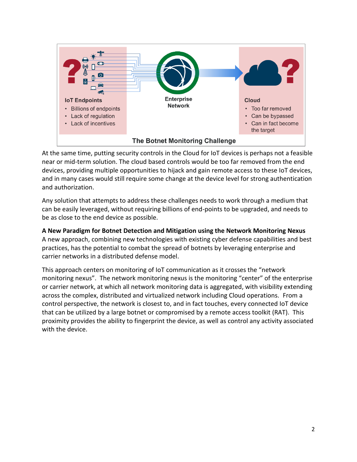

At the same time, putting security controls in the Cloud for IoT devices is perhaps not a feasible near or mid-term solution. The cloud based controls would be too far removed from the end devices, providing multiple opportunities to hijack and gain remote access to these IoT devices, and in many cases would still require some change at the device level for strong authentication and authorization.

Any solution that attempts to address these challenges needs to work through a medium that can be easily leveraged, without requiring billions of end-points to be upgraded, and needs to be as close to the end device as possible.

**A New Paradigm for Botnet Detection and Mitigation using the Network Monitoring Nexus** A new approach, combining new technologies with existing cyber defense capabilities and best practices, has the potential to combat the spread of botnets by leveraging enterprise and carrier networks in a distributed defense model.

This approach centers on monitoring of IoT communication as it crosses the "network monitoring nexus". The network monitoring nexus is the monitoring "center" of the enterprise or carrier network, at which all network monitoring data is aggregated, with visibility extending across the complex, distributed and virtualized network including Cloud operations. From a control perspective, the network is closest to, and in fact touches, every connected IoT device that can be utilized by a large botnet or compromised by a remote access toolkit (RAT). This proximity provides the ability to fingerprint the device, as well as control any activity associated with the device.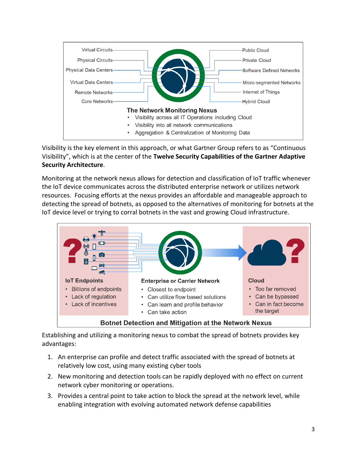

Visibility is the key element in this approach, or what Gartner Group refers to as "Continuous Visibility", which is at the center of the **Twelve Security Capabilities of the Gartner Adaptive Security Architecture**.

Monitoring at the network nexus allows for detection and classification of IoT traffic whenever the IoT device communicates across the distributed enterprise network or utilizes network resources. Focusing efforts at the nexus provides an affordable and manageable approach to detecting the spread of botnets, as opposed to the alternatives of monitoring for botnets at the IoT device level or trying to corral botnets in the vast and growing Cloud infrastructure.



Establishing and utilizing a monitoring nexus to combat the spread of botnets provides key advantages:

- 1. An enterprise can profile and detect traffic associated with the spread of botnets at relatively low cost, using many existing cyber tools
- 2. New monitoring and detection tools can be rapidly deployed with no effect on current network cyber monitoring or operations.
- 3. Provides a central point to take action to block the spread at the network level, while enabling integration with evolving automated network defense capabilities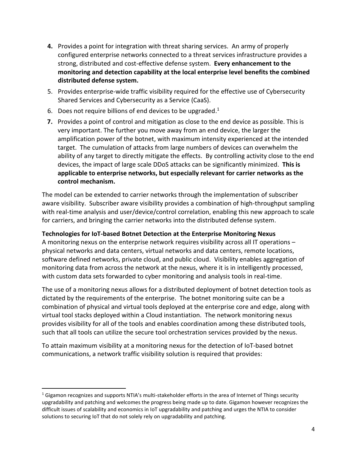- **4.** Provides a point for integration with threat sharing services. An army of properly configured enterprise networks connected to a threat services infrastructure provides a strong, distributed and cost-effective defense system. **Every enhancement to the monitoring and detection capability at the local enterprise level benefits the combined distributed defense system.**
- 5. Provides enterprise-wide traffic visibility required for the effective use of Cybersecurity Shared Services and Cybersecurity as a Service (CaaS).
- 6. Does not require billions of end devices to be upgraded.<sup>1</sup>
- **7.** Provides a point of control and mitigation as close to the end device as possible. This is very important. The further you move away from an end device, the larger the amplification power of the botnet, with maximum intensity experienced at the intended target. The cumulation of attacks from large numbers of devices can overwhelm the ability of any target to directly mitigate the effects. By controlling activity close to the end devices, the impact of large scale DDoS attacks can be significantly minimized. **This is applicable to enterprise networks, but especially relevant for carrier networks as the control mechanism.**

The model can be extended to carrier networks through the implementation of subscriber aware visibility. Subscriber aware visibility provides a combination of high-throughput sampling with real-time analysis and user/device/control correlation, enabling this new approach to scale for carriers, and bringing the carrier networks into the distributed defense system.

## **Technologies for IoT-based Botnet Detection at the Enterprise Monitoring Nexus**

A monitoring nexus on the enterprise network requires visibility across all IT operations – physical networks and data centers, virtual networks and data centers, remote locations, software defined networks, private cloud, and public cloud. Visibility enables aggregation of monitoring data from across the network at the nexus, where it is in intelligently processed, with custom data sets forwarded to cyber monitoring and analysis tools in real-time.

The use of a monitoring nexus allows for a distributed deployment of botnet detection tools as dictated by the requirements of the enterprise. The botnet monitoring suite can be a combination of physical and virtual tools deployed at the enterprise core and edge, along with virtual tool stacks deployed within a Cloud instantiation. The network monitoring nexus provides visibility for all of the tools and enables coordination among these distributed tools, such that all tools can utilize the secure tool orchestration services provided by the nexus.

To attain maximum visibility at a monitoring nexus for the detection of IoT-based botnet communications, a network traffic visibility solution is required that provides:

 $\overline{a}$ 

<sup>&</sup>lt;sup>1</sup> Gigamon recognizes and supports NTIA's multi-stakeholder efforts in the area of Internet of Things security upgradability and patching and welcomes the progress being made up to date. Gigamon however recognizes the difficult issues of scalability and economics in IoT upgradability and patching and urges the NTIA to consider solutions to securing IoT that do not solely rely on upgradability and patching.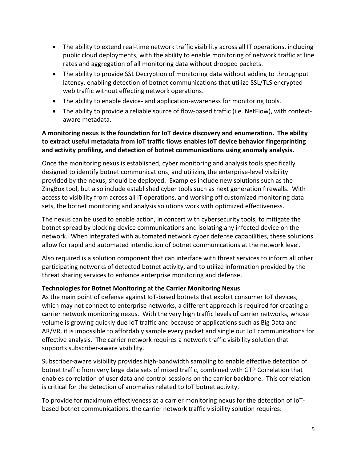- The ability to extend real-time network traffic visibility across all IT operations, including public cloud deployments, with the ability to enable monitoring of network traffic at line rates and aggregation of all monitoring data without dropped packets.
- The ability to provide SSL Decryption of monitoring data without adding to throughput latency, enabling detection of botnet communications that utilize SSL/TLS encrypted web traffic without effecting network operations.
- The ability to enable device- and application-awareness for monitoring tools.
- The ability to provide a reliable source of flow-based traffic (i.e. NetFlow), with contextaware metadata.

## **A monitoring nexus is the foundation for IoT device discovery and enumeration. The ability to extract useful metadata from IoT traffic flows enables IoT device behavior fingerprinting and activity profiling, and detection of botnet communications using anomaly analysis.**

Once the monitoring nexus is established, cyber monitoring and analysis tools specifically designed to identify botnet communications, and utilizing the enterprise-level visibility provided by the nexus, should be deployed. Examples include new solutions such as the ZingBox tool, but also include established cyber tools such as next generation firewalls. With access to visibility from across all IT operations, and working off customized monitoring data sets, the botnet monitoring and analysis solutions work with optimized effectiveness.

The nexus can be used to enable action, in concert with cybersecurity tools, to mitigate the botnet spread by blocking device communications and isolating any infected device on the network. When integrated with automated network cyber defense capabilities, these solutions allow for rapid and automated interdiction of botnet communications at the network level.

Also required is a solution component that can interface with threat services to inform all other participating networks of detected botnet activity, and to utilize information provided by the threat sharing services to enhance enterprise monitoring and defense.

## **Technologies for Botnet Monitoring at the Carrier Monitoring Nexus**

As the main point of defense against IoT-based botnets that exploit consumer IoT devices, which may not connect to enterprise networks, a different approach is required for creating a carrier network monitoring nexus. With the very high traffic levels of carrier networks, whose volume is growing quickly due IoT traffic and because of applications such as Big Data and AR/VR, it is impossible to affordably sample every packet and single out IoT communications for effective analysis. The carrier network requires a network traffic visibility solution that supports subscriber-aware visibility.

Subscriber-aware visibility provides high-bandwidth sampling to enable effective detection of botnet traffic from very large data sets of mixed traffic, combined with GTP Correlation that enables correlation of user data and control sessions on the carrier backbone. This correlation is critical for the detection of anomalies related to IoT botnet activity.

To provide for maximum effectiveness at a carrier monitoring nexus for the detection of IoTbased botnet communications, the carrier network traffic visibility solution requires: